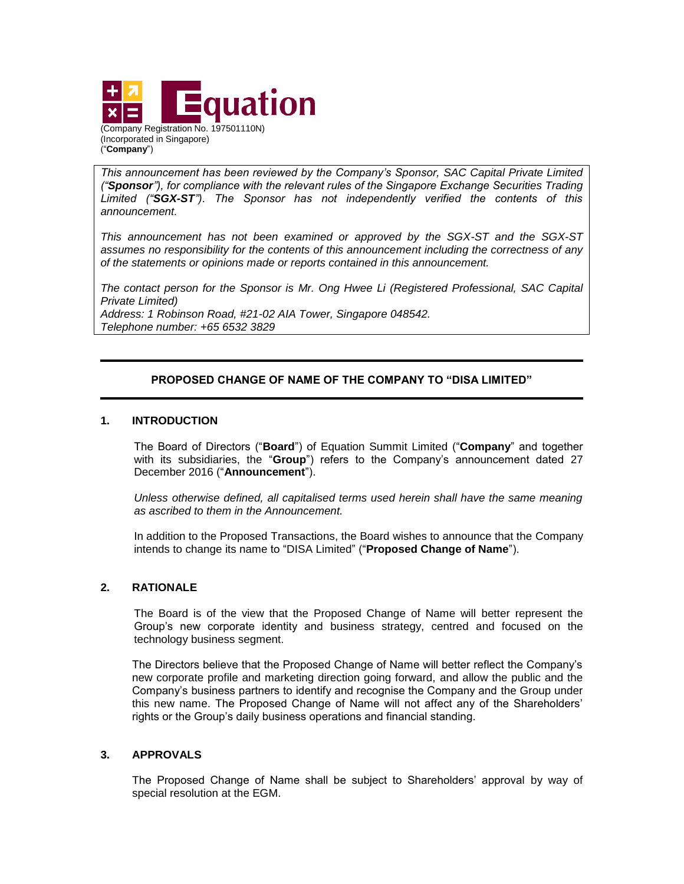

*This announcement has been reviewed by the Company's Sponsor, SAC Capital Private Limited ("Sponsor"), for compliance with the relevant rules of the Singapore Exchange Securities Trading Limited ("SGX-ST"). The Sponsor has not independently verified the contents of this announcement.* 

*This announcement has not been examined or approved by the SGX-ST and the SGX-ST assumes no responsibility for the contents of this announcement including the correctness of any of the statements or opinions made or reports contained in this announcement.* 

*The contact person for the Sponsor is Mr. Ong Hwee Li (Registered Professional, SAC Capital Private Limited) Address: 1 Robinson Road, #21-02 AIA Tower, Singapore 048542. Telephone number: +65 6532 3829*

# **PROPOSED CHANGE OF NAME OF THE COMPANY TO "DISA LIMITED"**

### **1. INTRODUCTION**

("**Company**")

The Board of Directors ("**Board**") of Equation Summit Limited ("**Company**" and together with its subsidiaries, the "**Group**") refers to the Company's announcement dated 27 December 2016 ("**Announcement**").

*Unless otherwise defined, all capitalised terms used herein shall have the same meaning as ascribed to them in the Announcement.*

In addition to the Proposed Transactions, the Board wishes to announce that the Company intends to change its name to "DISA Limited" ("**Proposed Change of Name**").

### **2. RATIONALE**

The Board is of the view that the Proposed Change of Name will better represent the Group's new corporate identity and business strategy, centred and focused on the technology business segment.

The Directors believe that the Proposed Change of Name will better reflect the Company's new corporate profile and marketing direction going forward, and allow the public and the Company's business partners to identify and recognise the Company and the Group under this new name. The Proposed Change of Name will not affect any of the Shareholders' rights or the Group's daily business operations and financial standing.

### **3. APPROVALS**

The Proposed Change of Name shall be subject to Shareholders' approval by way of special resolution at the EGM.